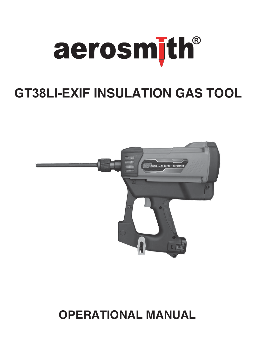

# **GT38LI-EXIF INSULATION GAS TOOL**



## **OPERATIONAL MANUAL**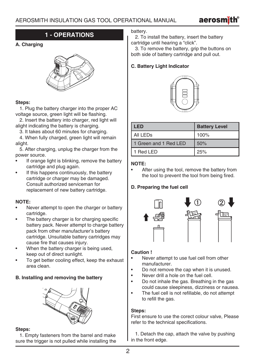

## **1 - OPERATIONS**

### **A. Charging**



#### **Steps:**

 1. Plug the battery charger into the proper AC voltage source, green light will be flashing.

 2. Insert the battery into charger, red light will alight indicating the battery is charging.

3. It takes about 60 minutes for charging.

 4. When fully charged, green light will remain alight.

 5. After charging, unplug the charger from the power source.

- If orange light is blinking, remove the battery cartridge and plug again.
- If this happens continuously, the battery cartridge or charger may be damaged. Consult authorized serviceman for replacement of new battery cartridge.

### **NOTE:**

- Never attempt to open the charger or battery cartridge.
- The battery charger is for charging specific battery pack. Never attempt to charge battery pack from other manufacturer's battery cartridge. Unsuitable battery cartridges may cause fire that causes injury.
- When the battery charger is being used, keep out of direct sunlight.
- To get better cooling effect, keep the exhaust area clean.

### **B. Installing and removing the battery**



#### **Steps:**

 1. Empty fasteners from the barrel and make sure the trigger is not pulled while installing the battery.

 2. To install the battery, insert the battery cartridge until hearing a "click".

 3. To remove the battery, grip the buttons on both side of battery cartridge and pull out.

## **C. Battery Light Indicator**



| <b>LED</b>            | <b>Battery Level</b> |
|-----------------------|----------------------|
| All LEDs              | 100%                 |
| 1 Green and 1 Red LED | 50%                  |
| 1 Red LED             | 25%                  |

## **NOTE:**

After using the tool, remove the battery from the tool to prevent the tool from being fired.

## **D. Preparing the fuel cell**



### **Caution !**

- Never attempt to use fuel cell from other manufacturer.
- Do not remove the cap when it is unused.
- Never drill a hole on the fuel cell.
- Do not inhale the gas. Breathing in the gas could cause sleepiness, dizziness or nausea.
- The fuel cell is not refillable, do not attempt to refill the gas.

### **Steps:**

First ensure to use the corect colour valve, Please refer to the technical specifications.

 1. Detach the cap, attach the valve by pushing in the front edge.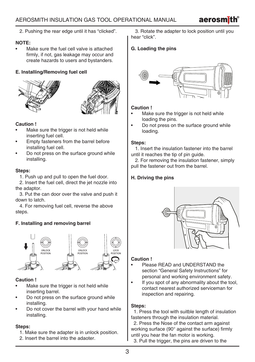2. Pushing the rear edge until it has "clicked".

## **NOTE:**

• Make sure the fuel cell valve is attached firmly, if not, gas leakage may occur and create hazards to users and bystanders.

## **E. Installing/Removing fuel cell**





## **Caution !**

- Make sure the trigger is not held while inserting fuel cell.
- Empty fasteners from the barrel before installing fuel cell.
- Do not press on the surface ground while installing.

## **Steps:**

1. Push up and pull to open the fuel door.

 2. Insert the fuel cell, direct the jet nozzle into the adaptor.

 3. Put the can door over the valve and push it down to latch.

 4. For removing fuel cell, reverse the above steps.

## **F. Installing and removing barrel**



### **Caution !**

- Make sure the trigger is not held while inserting barrel.
- Do not press on the surface ground while installing.
- Do not cover the barrel with your hand while installing.

## **Steps:**

- 1. Make sure the adapter is in unlock position.
- 2. Insert the barrel into the adaoter.

 3. Rotate the adapter to lock position until you hear "click".

## **G. Loading the pins**



## **Caution !**

- Make sure the trigger is not held while loading the pins.
- Do not press on the surface ground while loading.

## **Steps:**

 1. Insert the insulation fastener into the barrel until it reaches the tip of pin guide.

 2. For removing the insulation fastener, simply pull the fastener out from the barrel.

## **H. Driving the pins**



## **Caution !**

- Please READ and UNDERSTAND the section "General Safety Instructions" for personal and working environment safety.
- If you spot of any abnormality about the tool. contact nearest authorized serviceman for inspection and repairing.

## **Steps:**

 1. Press the tool with suitble length of insulation fasteners through the insulation material.

 2. Press the Nose of the contact arm against working surface (90° against the surface) firmly until you hear the fan motor is working.

3. Pull the trigger, the pins are driven to the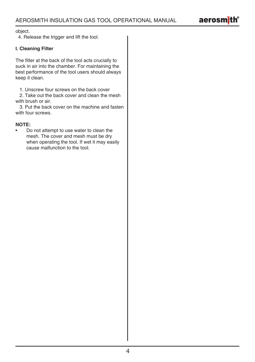

object.

4. Release the trigger and lift the tool.

## **I. Cleaning Filter**

The filter at the back of the tool acts crucially to suck in air into the chamber. For maintaining the best performance of the tool users should always keep it clean.

1. Unscrew four screws on the back cover

 2. Take out the back cover and clean the mesh with brush or air.

 3. Put the back cover on the machine and fasten with four screws.

## **NOTE:**

• Do not attempt to use water to clean the mesh. The cover and mesh must be dry when operating the tool. If wet it may easily cause malfunction to the tool.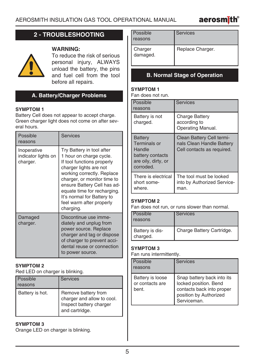

## **2 - TROUBLESHOOTING**

## **WARNING:**



To reduce the risk of serious personal injury, ALWAYS unload the battery, the pins and fuel cell from the tool before all repairs.

## **A. Battery/Charger Problems**

## **SYMPTOM 1**

Battery Cell does not appear to accept charge. Green charger light does not come on after several hours.

| Possible<br>reasons                            | <b>Services</b>                                                                                                                                                                                                                                                                                                |
|------------------------------------------------|----------------------------------------------------------------------------------------------------------------------------------------------------------------------------------------------------------------------------------------------------------------------------------------------------------------|
| Inoperative<br>indicator lights on<br>charger. | Try Battery in tool after<br>1 hour on charge cycle.<br>If tool functions properly<br>charger lights are not<br>working correctly. Replace<br>charger, or monitor time to<br>ensure Battery Cell has ad-<br>equate time for recharging.<br>It's normal for Battery to<br>feel warm after properly<br>charging. |
| Damaged<br>charger.                            | Discontinue use imme-<br>diately and unplug from<br>power source. Replace<br>charger and tag or dispose<br>of charger to prevent acci-<br>dental reuse or connection<br>to power source.                                                                                                                       |

#### **SYMPTOM 2**

Red LED on charger is blinking.

| Possible<br>reasons | <b>Services</b>                                                                                |
|---------------------|------------------------------------------------------------------------------------------------|
| Battery is hot.     | Remove battery from<br>charger and allow to cool.<br>Inspect battery charger<br>and cartridge. |

## **SYMPTOM 3**

Orange LED on charger is blinking.

| <b>Possible</b><br>reasons | Services         |
|----------------------------|------------------|
| Charger<br>damaged.        | Replace Charger. |

## **B. Normal Stage of Operation**

## **SYMPTOM 1**

Fan does not run.

| Possible<br>reasons                                                                              | <b>Services</b>                                                                      |
|--------------------------------------------------------------------------------------------------|--------------------------------------------------------------------------------------|
| Battery is not<br>charged.                                                                       | Charge Battery<br>according to<br>Operating Manual.                                  |
| <b>Battery</b><br>Terminals or<br>Handle<br>battery contacts<br>are oily, dirty, or<br>corroded. | Clean Battery Cell termi-<br>nals Clean Handle Battery<br>Cell contacts as required. |
| There is electrical<br>short some-<br>where.                                                     | The tool must be looked<br>into by Authorized Service-<br>man.                       |

## **SYMPTOM 2**

Fan does not run, or runs slower than normal.

| Possible<br>reasons         | <b>Services</b>           |
|-----------------------------|---------------------------|
| Battery is dis-<br>charged. | Charge Battery Cartridge. |

## **SYMPTOM 3**

Fan runs intermittently.

| Possible<br>reasons                          | <b>Services</b>                                                                                                           |
|----------------------------------------------|---------------------------------------------------------------------------------------------------------------------------|
| Battery is loose<br>or contacts are<br>bent. | Snap battery back into its<br>locked position. Bend<br>contacts back into proper<br>position by Authorized<br>Serviceman. |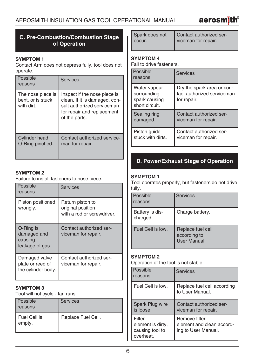## **C. Pre-Combustion/Combustion Stage of Operation**

### **SYMPTOM 1**

Contact Arm does not depress fully, tool does not operate.

| l Possible<br>reasons                                | <b>Services</b>                                                                                                                            |
|------------------------------------------------------|--------------------------------------------------------------------------------------------------------------------------------------------|
| The nose piece is<br>bent, or is stuck<br>with dirt. | Inspect if the nose piece is<br>clean. If it is damaged, con-<br>sult authorized serviceman<br>for repair and replacement<br>of the parts. |
| <b>Cylinder head</b><br>O-Ring pinched.              | Contact authorized service-<br>man for repair.                                                                                             |

## **SYMPTOM 2**

Failure to install fasteners to nose piece.

| Possible<br>reasons                                     | <b>Services</b>                                                     |
|---------------------------------------------------------|---------------------------------------------------------------------|
| Piston positioned<br>wrongly.                           | Return piston to<br>original position<br>with a rod or screwdriver. |
| O-Ring is<br>damaged and<br>causing<br>leakage of gas.  | Contact authorized ser-<br>viceman for repair.                      |
| Damaged valve<br>plate or reed of<br>the cylinder body. | Contact authorized ser-<br>viceman for repair.                      |

## **SYMPTOM 3**

Tool will not cycle - fan runs.

| <b>Possible</b><br>reasons | <b>Services</b>    |
|----------------------------|--------------------|
| I Fuel Cell is<br>empty.   | Replace Fuel Cell. |

| Spark does not | Contact authorized ser- |
|----------------|-------------------------|
| occur.         | viceman for repair.     |

## **SYMPTOM 4**

Fail to drive fasteners.

| Possible<br>reasons                                            | <b>Services</b>                                                         |
|----------------------------------------------------------------|-------------------------------------------------------------------------|
| Water vapour<br>surrounding<br>spark causing<br>short circuit. | Dry the spark area or con-<br>tact authorized serviceman<br>for repair. |
| Sealing ring                                                   | Contact authorized ser-                                                 |
| damaged.                                                       | viceman for repair.                                                     |
| Piston quide                                                   | Contact authorized ser-                                                 |
| stuck with dirts.                                              | viceman for repair.                                                     |

## **D. Power/Exhaust Stage of Operation**

## **SYMPTOM 1**

Tool operates properly, but fasteners do not drive fully.

| Possible<br>reasons         | <b>Services</b>                                         |
|-----------------------------|---------------------------------------------------------|
| Battery is dis-<br>charged. | Charge battery.                                         |
| Fuel Cell is low.           | Replace fuel cell<br>according to<br><b>User Manual</b> |

## **SYMPTOM 2**

Operation of the tool is not stable.

| Possible<br>reasons                                         | <b>Services</b>                                                   |
|-------------------------------------------------------------|-------------------------------------------------------------------|
| Fuel Cell is low.                                           | Replace fuel cell according<br>to User Manual.                    |
| Spark Plug wire<br>is loose.                                | Contact authorized ser-<br>viceman for repair.                    |
| Filter<br>element is dirty,<br>causing tool to<br>overheat. | Remove filter<br>element and clean accord-<br>ing to User Manual. |

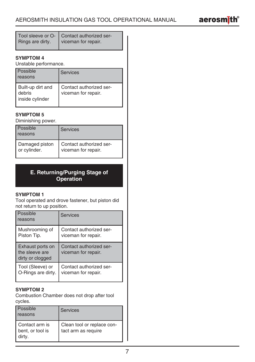

|                  | Tool sleeve or O-   Contact authorized ser- |
|------------------|---------------------------------------------|
| Rings are dirty. | viceman for repair.                         |

## **SYMPTOM 4**

Unstable performance.

| Possible<br>reasons                            | Services                                       |
|------------------------------------------------|------------------------------------------------|
| Built-up dirt and<br>debris<br>inside cylinder | Contact authorized ser-<br>viceman for repair. |

## **SYMPTOM 5**

Diminishing power.

| Possible<br><b>reasons</b> | Services                |
|----------------------------|-------------------------|
| Damaged piston             | Contact authorized ser- |
| or cylinder.               | viceman for repair.     |

## **E. Returning/Purging Stage of Operation**

#### **SYMPTOM 1**

Tool operated and drove fastener, but piston did not return to up position.

| <b>Possible</b><br>reasons                             | <b>Services</b>                                |
|--------------------------------------------------------|------------------------------------------------|
| Mushrooming of                                         | Contact authorized ser-                        |
| Piston Tip.                                            | viceman for repair.                            |
| Exhaust ports on<br>the sleeve are<br>dirty or clogged | Contact authorized ser-<br>viceman for repair. |
| Tool (Sleeve) or                                       | Contact authorized ser-                        |
| O-Rings are dirty.                                     | viceman for repair.                            |

## **SYMPTOM 2**

Combustion Chamber does not drop after tool cycles.

| <b>Possible</b><br>reasons                     | <b>Services</b>                                   |
|------------------------------------------------|---------------------------------------------------|
| I Contact arm is<br>bent, or tool is<br>dirty. | Clean tool or replace con-<br>tact arm as require |